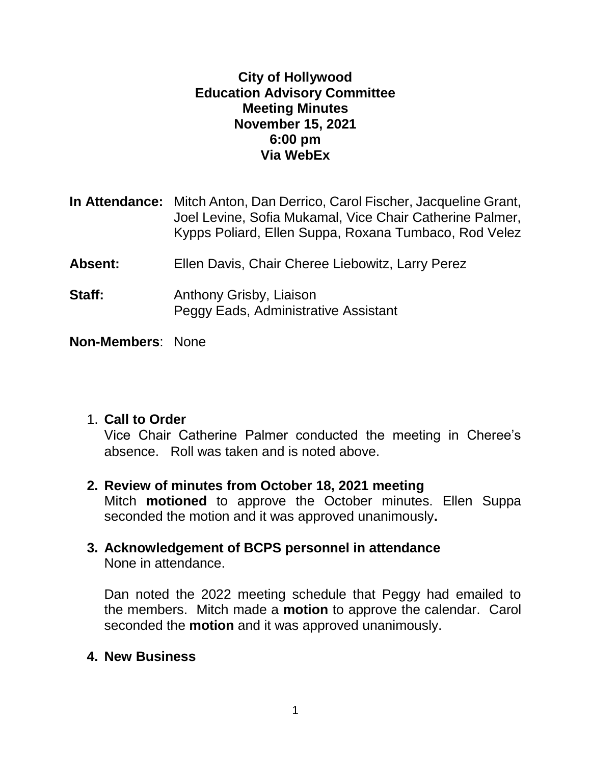#### **City of Hollywood Education Advisory Committee Meeting Minutes November 15, 2021 6:00 pm Via WebEx**

|         | <b>In Attendance:</b> Mitch Anton, Dan Derrico, Carol Fischer, Jacqueline Grant,<br>Joel Levine, Sofia Mukamal, Vice Chair Catherine Palmer,<br>Kypps Poliard, Ellen Suppa, Roxana Tumbaco, Rod Velez |
|---------|-------------------------------------------------------------------------------------------------------------------------------------------------------------------------------------------------------|
| Absent: | Ellen Davis, Chair Cheree Liebowitz, Larry Perez                                                                                                                                                      |
| Staff:  | Anthony Grisby, Liaison<br>Peggy Eads, Administrative Assistant                                                                                                                                       |
|         |                                                                                                                                                                                                       |

**Non-Members**: None

# 1. **Call to Order**

Vice Chair Catherine Palmer conducted the meeting in Cheree's absence. Roll was taken and is noted above.

- **2. Review of minutes from October 18, 2021 meeting** Mitch **motioned** to approve the October minutes. Ellen Suppa seconded the motion and it was approved unanimously**.**
- **3. Acknowledgement of BCPS personnel in attendance** None in attendance.

Dan noted the 2022 meeting schedule that Peggy had emailed to the members. Mitch made a **motion** to approve the calendar.Carol seconded the **motion** and it was approved unanimously.

**4. New Business**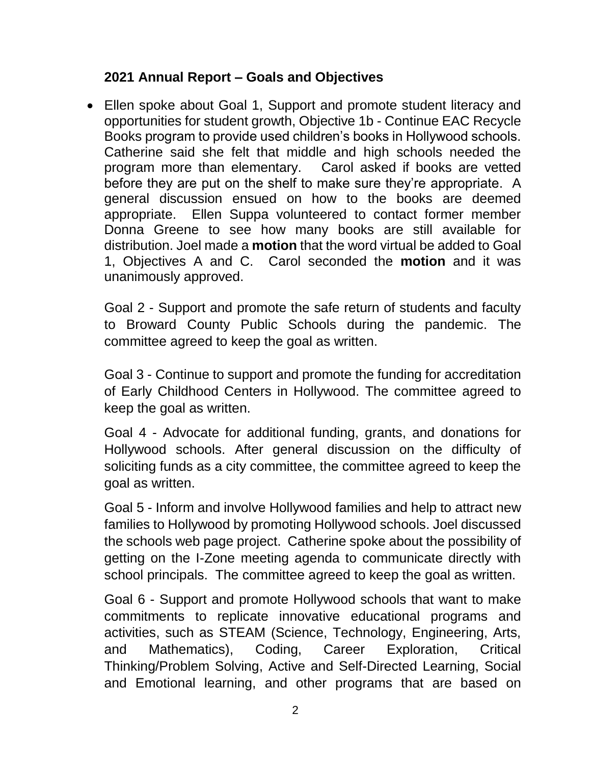## **2021 Annual Report – Goals and Objectives**

 Ellen spoke about Goal 1, Support and promote student literacy and opportunities for student growth, Objective 1b - Continue EAC Recycle Books program to provide used children's books in Hollywood schools. Catherine said she felt that middle and high schools needed the program more than elementary. Carol asked if books are vetted before they are put on the shelf to make sure they're appropriate. A general discussion ensued on how to the books are deemed appropriate. Ellen Suppa volunteered to contact former member Donna Greene to see how many books are still available for distribution. Joel made a **motion** that the word virtual be added to Goal 1, Objectives A and C. Carol seconded the **motion** and it was unanimously approved.

Goal 2 - Support and promote the safe return of students and faculty to Broward County Public Schools during the pandemic. The committee agreed to keep the goal as written.

Goal 3 - Continue to support and promote the funding for accreditation of Early Childhood Centers in Hollywood. The committee agreed to keep the goal as written.

Goal 4 - Advocate for additional funding, grants, and donations for Hollywood schools. After general discussion on the difficulty of soliciting funds as a city committee, the committee agreed to keep the goal as written.

Goal 5 - Inform and involve Hollywood families and help to attract new families to Hollywood by promoting Hollywood schools. Joel discussed the schools web page project. Catherine spoke about the possibility of getting on the I-Zone meeting agenda to communicate directly with school principals. The committee agreed to keep the goal as written.

Goal 6 - Support and promote Hollywood schools that want to make commitments to replicate innovative educational programs and activities, such as STEAM (Science, Technology, Engineering, Arts, and Mathematics), Coding, Career Exploration, Critical Thinking/Problem Solving, Active and Self-Directed Learning, Social and Emotional learning, and other programs that are based on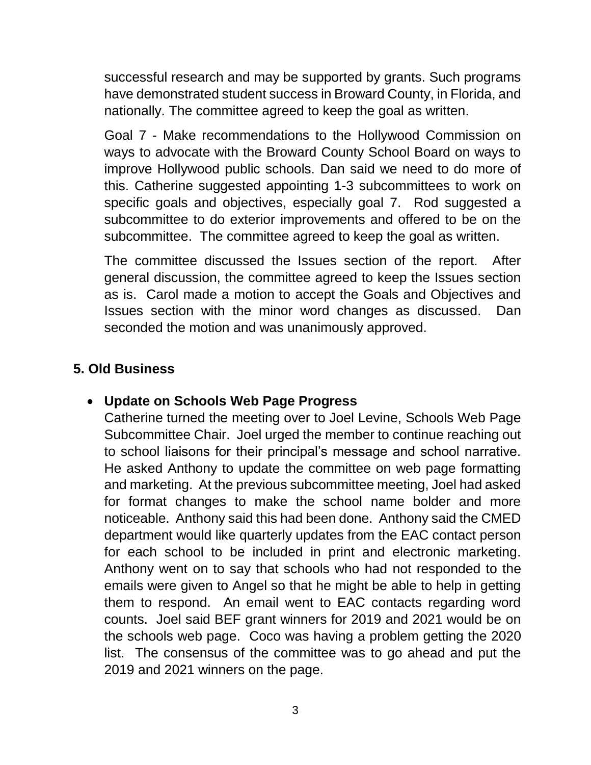successful research and may be supported by grants. Such programs have demonstrated student success in Broward County, in Florida, and nationally. The committee agreed to keep the goal as written.

Goal 7 - Make recommendations to the Hollywood Commission on ways to advocate with the Broward County School Board on ways to improve Hollywood public schools. Dan said we need to do more of this. Catherine suggested appointing 1-3 subcommittees to work on specific goals and objectives, especially goal 7. Rod suggested a subcommittee to do exterior improvements and offered to be on the subcommittee. The committee agreed to keep the goal as written.

The committee discussed the Issues section of the report. After general discussion, the committee agreed to keep the Issues section as is. Carol made a motion to accept the Goals and Objectives and Issues section with the minor word changes as discussed. Dan seconded the motion and was unanimously approved.

## **5. Old Business**

#### **Update on Schools Web Page Progress**

Catherine turned the meeting over to Joel Levine, Schools Web Page Subcommittee Chair. Joel urged the member to continue reaching out to school liaisons for their principal's message and school narrative. He asked Anthony to update the committee on web page formatting and marketing. At the previous subcommittee meeting, Joel had asked for format changes to make the school name bolder and more noticeable. Anthony said this had been done. Anthony said the CMED department would like quarterly updates from the EAC contact person for each school to be included in print and electronic marketing. Anthony went on to say that schools who had not responded to the emails were given to Angel so that he might be able to help in getting them to respond. An email went to EAC contacts regarding word counts. Joel said BEF grant winners for 2019 and 2021 would be on the schools web page. Coco was having a problem getting the 2020 list. The consensus of the committee was to go ahead and put the 2019 and 2021 winners on the page.